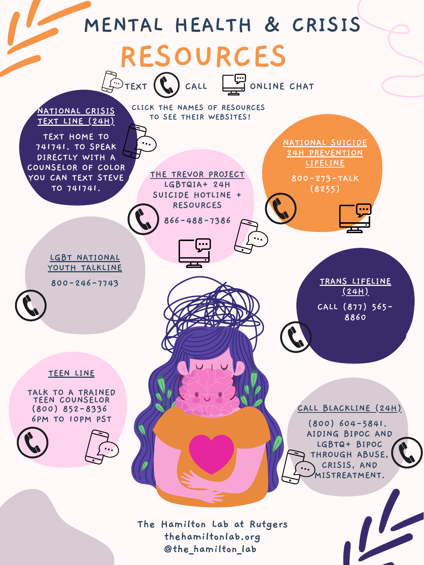